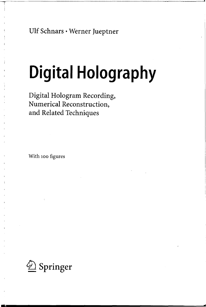Ulf Schnars • Werner Jueptner

# **Digital Holography**

**...** 

Digital Hologram Recording, Numerical Reconstruction, and Related Techniques

With 100 figures

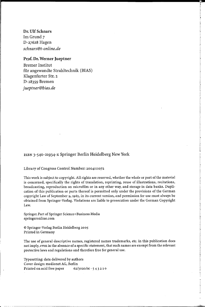Dr. Ulf Schnars Im Grund 7 D-27628 Hagen *schnars@t-online.de* 

### Prof. Dr. Werner Jueptner

Bremer Institut für angewandte Strahltechnik (BIAS) Klagenfurter Str. 2 D-28359 Bremen *jueptner@bias.de* 

#### ISBN 3-540-21934-x Springer Berlin Heidelberg New York

#### Library of Congress Control Number: 2004111072

This work is subject to copyright. All rights are reserved, whether the whole or part of the material is concerned, specifically the rights of translation, reprinting, reuse of illustrations, recitations, broadcasting, reproduction on microfilm or in any other way, and storage in data banks. Duplication of this publication or parts thereof is permitted only under the provisions of the German copyright Law of September 9, 1965, in its current version, and permission for use must always be obtained from Springer-Verlag. Violations are liable to prosecution under the German Copyright Law.

Springer. Part of Springer Science+ Business Media springeronline.com

© Springer-Verlag Berlin Heidelberg 2005 Printed in Germany

The use of general descriptive names, registered names trademarks, etc. in this publication does not imply, even in the absence of a specific statement, that such names are exempt from the relevant protective laws and regulations and therefore free for general use.

Typesetting: data delivered by authors Cover design: medionet AG, Berlin Printed on acid free paper 62/3020/M - 5 4 3 2 1 0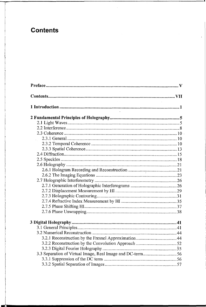## **Contents**

| 3.3 Separation of Virtual Image, Real Image and DC-term56 |
|-----------------------------------------------------------|
|                                                           |
|                                                           |